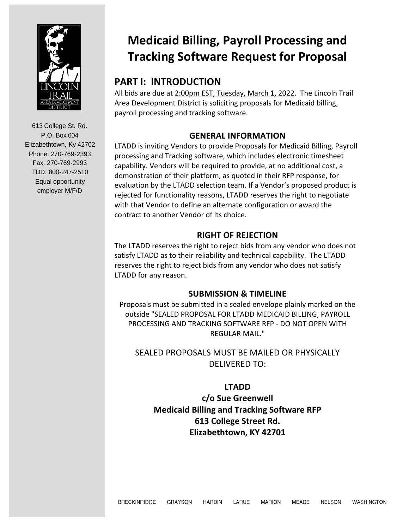

# **Medicaid Billing, Payroll Processing and Tracking Software Request for Proposal**

# **PART I: INTRODUCTION**

All bids are due at 2:00pm EST, Tuesday, March 1, 2022. The Lincoln Trail Area Development District is soliciting proposals for Medicaid billing, payroll processing and tracking software.

# **GENERAL INFORMATION**

LTADD is inviting Vendors to provide Proposals for Medicaid Billing, Payroll processing and Tracking software, which includes electronic timesheet capability. Vendors will be required to provide, at no additional cost, a demonstration of their platform, as quoted in their RFP response, for evaluation by the LTADD selection team. If a Vendor's proposed product is rejected for functionality reasons, LTADD reserves the right to negotiate with that Vendor to define an alternate configuration or award the contract to another Vendor of its choice.

# **RIGHT OF REJECTION**

The LTADD reserves the right to reject bids from any vendor who does not satisfy LTADD as to their reliability and technical capability. The LTADD reserves the right to reject bids from any vendor who does not satisfy LTADD for any reason.

# **SUBMISSION & TIMELINE**

Proposals must be submitted in a sealed envelope plainly marked on the outside "SEALED PROPOSAL FOR LTADD MEDICAID BILLING, PAYROLL PROCESSING AND TRACKING SOFTWARE RFP - DO NOT OPEN WITH REGULAR MAIL."

# SEALED PROPOSALS MUST BE MAILED OR PHYSICALLY DELIVERED TO:

# **LTADD**

**c/o Sue Greenwell Medicaid Billing and Tracking Software RFP 613 College Street Rd. Elizabethtown, KY 42701**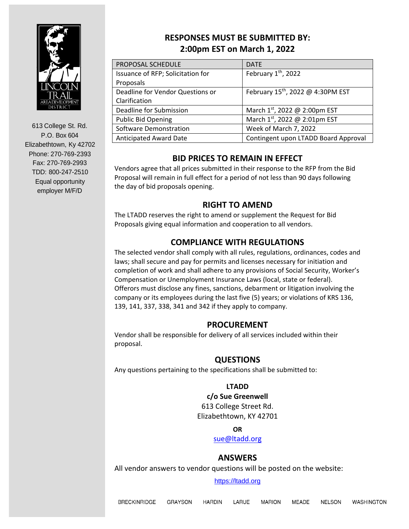

# **RESPONSES MUST BE SUBMITTED BY: 2:00pm EST on March 1, 2022**

| PROPOSAL SCHEDULE                 | <b>DATE</b>                                   |
|-----------------------------------|-----------------------------------------------|
| Issuance of RFP; Solicitation for | February 1 <sup>th</sup> , 2022               |
| Proposals                         |                                               |
| Deadline for Vendor Questions or  | February 15 <sup>th</sup> , 2022 @ 4:30PM EST |
| Clarification                     |                                               |
| Deadline for Submission           | March 1st, 2022 @ 2:00pm EST                  |
| <b>Public Bid Opening</b>         | March 1st, 2022 @ 2:01pm EST                  |
| <b>Software Demonstration</b>     | Week of March 7, 2022                         |
| <b>Anticipated Award Date</b>     | Contingent upon LTADD Board Approval          |

# **BID PRICES TO REMAIN IN EFFECT**

Vendors agree that all prices submitted in their response to the RFP from the Bid Proposal will remain in full effect for a period of not less than 90 days following the day of bid proposals opening.

# **RIGHT TO AMEND**

The LTADD reserves the right to amend or supplement the Request for Bid Proposals giving equal information and cooperation to all vendors.

# **COMPLIANCE WITH REGULATIONS**

The selected vendor shall comply with all rules, regulations, ordinances, codes and laws; shall secure and pay for permits and licenses necessary for initiation and completion of work and shall adhere to any provisions of Social Security, Worker's Compensation or Unemployment Insurance Laws (local, state or federal). Offerors must disclose any fines, sanctions, debarment or litigation involving the company or its employees during the last five (5) years; or violations of KRS 136, 139, 141, 337, 338, 341 and 342 if they apply to company.

# **PROCUREMENT**

Vendor shall be responsible for delivery of all services included within their proposal.

#### **QUESTIONS**

Any questions pertaining to the specifications shall be submitted to:

#### **LTADD**

**c/o Sue Greenwell** 613 College Street Rd. Elizabethtown, KY 42701

#### **OR**

[sue@ltadd.org](mailto:sue@ltadd.org)

# **ANSWERS**

All vendor answers to vendor questions will be posted on the website:

#### [https://ltadd.org](https://ltadd.org/)

WASHINGTON **BRECKINRIDGE** GRAYSON HARDIN LARUE MARION MEADE **NELSON**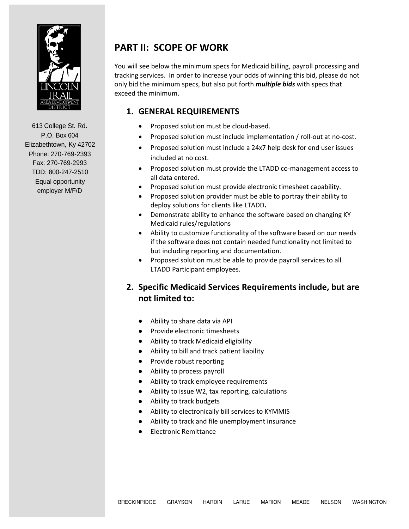

# **PART II: SCOPE OF WORK**

You will see below the minimum specs for Medicaid billing, payroll processing and tracking services. In order to increase your odds of winning this bid, please do not only bid the minimum specs, but also put forth *multiple bids* with specs that exceed the minimum.

#### **1. GENERAL REQUIREMENTS**

- Proposed solution must be cloud-based.
- Proposed solution must include implementation / roll-out at no-cost.
- Proposed solution must include a 24x7 help desk for end user issues included at no cost.
- Proposed solution must provide the LTADD co-management access to all data entered.
- Proposed solution must provide electronic timesheet capability.
- Proposed solution provider must be able to portray their ability to deploy solutions for clients like LTADD**.**
- Demonstrate ability to enhance the software based on changing KY Medicaid rules/regulations
- Ability to customize functionality of the software based on our needs if the software does not contain needed functionality not limited to but including reporting and documentation.
- Proposed solution must be able to provide payroll services to all LTADD Participant employees.

# **2. Specific Medicaid Services Requirements include, but are not limited to:**

- Ability to share data via API
- Provide electronic timesheets
- Ability to track Medicaid eligibility
- Ability to bill and track patient liability
- Provide robust reporting
- Ability to process payroll
- Ability to track employee requirements
- Ability to issue W2, tax reporting, calculations
- Ability to track budgets
- Ability to electronically bill services to KYMMIS
- Ability to track and file unemployment insurance
- Electronic Remittance